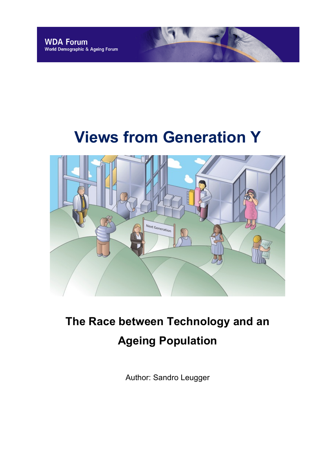# **Views from Generation Y**



## **The Race between Technology and an Ageing Population**

Author: Sandro Leugger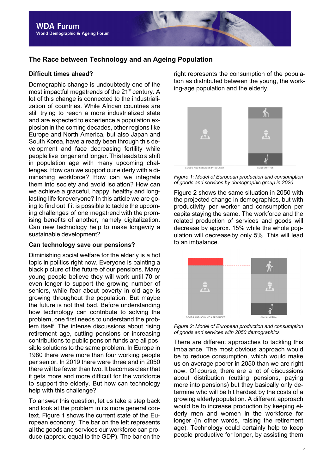## **The Race between Technology and an Ageing Population**

#### **Difficult times ahead?**

Demographic change is undoubtedly one of the most impactful megatrends of the 21<sup>st</sup> century. A lot of this change is connected to the industrialization of countries. While African countries are still trying to reach a more industrialized state and are expected to experience a population explosion in the coming decades, other regions like Europe and North America, but also Japan and South Korea, have already been through this development and face decreasing fertility while people live longer and longer. This leads to a shift in population age with many upcoming challenges. How can we support our elderly with a diminishing workforce? How can we integrate them into society and avoid isolation? How can we achieve a graceful, happy, healthy and longlasting life foreveryone? In this article we are going to find out if it is possible to tackle the upcoming challenges of one megatrend with the promising benefits of another, namely digitalization. Can new technology help to make longevity a sustainable development?

#### **Can technology save our pensions?**

Diminishing social welfare for the elderly is a hot topic in politics right now. Everyone is painting a black picture of the future of our pensions. Many young people believe they will work until 70 or even longer to support the growing number of seniors, while fear about poverty in old age is growing throughout the population. But maybe the future is not that bad. Before understanding how technology can contribute to solving the problem, one first needs to understand the problem itself. The intense discussions about rising retirement age, cutting pensions or increasing contributions to public pension funds are all possible solutions to the same problem. In Europe in 1980 there were more than four working people per senior. In 2019 there were three and in 2050 there will be fewer than two. It becomes clear that it gets more and more difficult for the workforce to support the elderly. But how can technology help with this challenge?

To answer this question, let us take a step back and look at the problem in its more general context. Figure 1 shows the current state of the European economy. The bar on the left represents all the goods and services our workforce can produce (approx. equal to the GDP). The bar on the right represents the consumption of the population as distributed between the young, the working-age population and the elderly.



*Figure 1: Model of European production and consumption of goods and services by demographic group in 2020*

Figure 2 shows the same situation in 2050 with the projected change in demographics, but with productivity per worker and consumption per capita staying the same. The workforce and the related production of services and goods will decrease by approx. 15% while the whole population will decreaseby only 5%. This will lead to an imbalance.



*Figure 2: Model of European production and consumption of goods and services with 2050 demographics*

There are different approaches to tackling this imbalance. The most obvious approach would be to reduce consumption, which would make us on average poorer in 2050 than we are right now. Of course, there are a lot of discussions about distribution (cutting pensions, paying more into pensions) but they basically only determine who will be hit hardest by the costs of a growing elderlypopulation. A different approach would be to increase production by keeping elderly men and women in the workforce for longer (in other words, raising the retirement age). Technology could certainly help to keep people productive for longer, by assisting them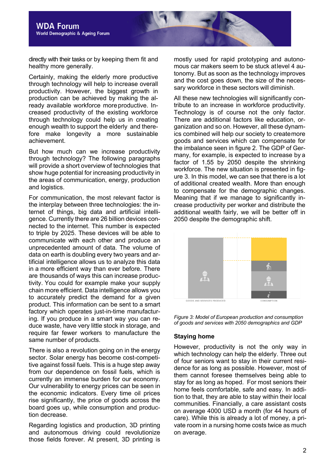directly with their tasks or by keeping them fit and healthy more generally.

Certainly, making the elderly more productive through technology will help to increase overall productivity. However, the biggest growth in production can be achieved by making the already available workforce more productive. Increased productivity of the existing workforce through technology could help us in creating enough wealth to support the elderly and therefore make longevity a more sustainable achievement.

But how much can we increase productivity through technology? The following paragraphs will provide a short overview of technologies that show huge potential for increasing productivity in the areas of communication, energy, production and logistics.

For communication, the most relevant factor is the interplay between three technologies: the internet of things, big data and artificial intelligence. Currently there are 26 billion devices connected to the internet. This number is expected to triple by 2025. These devices will be able to communicate with each other and produce an unprecedented amount of data. The volume of data on earth is doubling every two years and artificial intelligence allows us to analyze this data in a more efficient way than ever before. There are thousands of ways this can increase productivity. You could for example make your supply chain more efficient. Data intelligence allows you to accurately predict the demand for a given product. This information can be sent to a smart factory which operates just-in-time manufacturing. If you produce in a smart way you can reduce waste, have very little stock in storage, and require far fewer workers to manufacture the same number of products.

There is also a revolution going on in the energy sector. Solar energy has become cost-competitive against fossil fuels. This is a huge step away from our dependence on fossil fuels, which is currently an immense burden for our economy. Our vulnerability to energy prices can be seen in the economic indicators. Every time oil prices rise significantly, the price of goods across the board goes up, while consumption and production decrease.

Regarding logistics and production, 3D printing and autonomous driving could revolutionize those fields forever. At present, 3D printing is

mostly used for rapid prototyping and autonomous car makers seem to be stuck atlevel 4 autonomy. But as soon as the technology improves and the cost goes down, the size of the necessary workforce in these sectors will diminish.

All these new technologies will significantly contribute to an increase in workforce productivity. Technology is of course not the only factor. There are additional factors like education, organization and so on. However, all these dynamics combined will help our society to createmore goods and services which can compensate for the imbalance seen in figure 2. The GDP of Germany, for example, is expected to increase by a factor of 1.55 by 2050 despite the shrinking workforce. The new situation is presented in figure 3. In this model, we can see that there is a lot of additional created wealth. More than enough to compensate for the demographic changes. Meaning that if we manage to significantly increase productivity per worker and distribute the additional wealth fairly, we will be better off in 2050 despite the demographic shift.





#### **Staying home**

However, productivity is not the only way in which technology can help the elderly. Three out of four seniors want to stay in their current residence for as long as possible. However, most of them cannot foresee themselves being able to stay for as long as hoped. For most seniors their home feels comfortable, safe and easy. In addition to that, they are able to stay within their local communities. Financially, a care assistant costs on average 4000 USD a month (for 44 hours of care). While this is already a lot of money, a private room in a nursing home costs twice as much on average.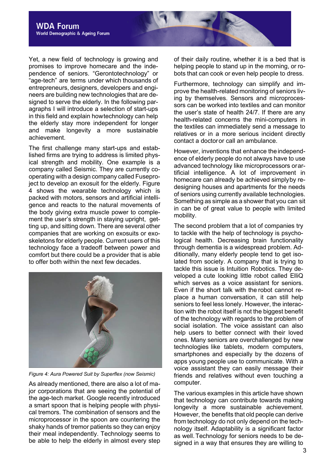Yet, a new field of technology is growing and promises to improve homecare and the independence of seniors. "Gerontotechnology" or "age-tech" are terms under which thousands of entrepreneurs, designers, developers and engineers are building new technologies that are designed to serve the elderly. In the following paragraphs I will introduce a selection of start-ups in this field and explain howtechnology can help the elderly stay more independent for longer and make longevity a more sustainable achievement.

The first challenge many start-ups and established firms are trying to address is limited physical strength and mobility. One example is a company called Seismic. They are currently cooperating with a design company called Fuseproject to develop an exosuit for the elderly. Figure 4 shows the wearable technology which is packed with motors, sensors and artificial intelligence and reacts to the natural movements of the body giving extra muscle power to complement the user's strength in staving upright, getting up, and sitting down. There are several other companies that are working on exosuits or exoskeletons for elderly people. Current users of this technology face a tradeoff between power and comfort but there could be a provider that is able to offer both within the next few decades.



*Figure 4: Aura Powered Suit by Superflex (now Seismic)*

As already mentioned, there are also a lot of major corporations that are seeing the potential of the age-tech market. Google recently introduced a smart spoon that is helping people with physical tremors. The combination of sensors and the microprocessor in the spoon are countering the shaky hands of tremor patients so they can enjoy their meal independently. Technology seems to be able to help the elderly in almost every step

of their daily routine, whether it is a bed that is helping people to stand up in the morning, or robots that can cook or even help people to dress.

Furthermore, technology can simplify and improve the health-related monitoring of seniors living by themselves. Sensors and microprocessors can be worked into textiles and can monitor the user's state of health 24/7. If there are any health-related concerns the mini-computers in the textiles can immediately send a message to relatives or in a more serious incident directly contact a doctoror call an ambulance.

However, inventions that enhance theindependence of elderly people do not always have to use advanced technology like microprocessors orartificial intelligence. A lot of improvement in homecare can already be achieved simplyby redesigning houses and apartments for the needs of seniors using currently available technologies. Something as simple as a shower that you can sit in can be of great value to people with limited mobility.

The second problem that a lot of companies try to tackle with the help of technology is psychological health. Decreasing brain functionality through dementia is a widespread problem. Additionally, many elderly people tend to get isolated from society. A company that is trying to tackle this issue is Intuition Robotics. They developed a cute looking little robot called ElliQ which serves as a voice assistant for seniors. Even if the short talk with the robot cannot replace a human conversation, it can still help seniors to feel less lonely. However, the interaction with the robot itself is not the biggest benefit of the technology with regards to the problem of social isolation. The voice assistant can also help users to better connect with their loved ones. Many seniors are overchallenged by new technologies like tablets, modern computers, smartphones and especially by the dozens of apps young people use to communicate. With a voice assistant they can easily message their friends and relatives without even touching a computer.

The various examples in this article have shown that technology can contribute towards making longevity a more sustainable achievement. However, the benefits that old people can derive from technology do not only depend on the technology itself. Adaptability is a significant factor as well.Technology for seniors needs to be designed in a way that ensures they are willing to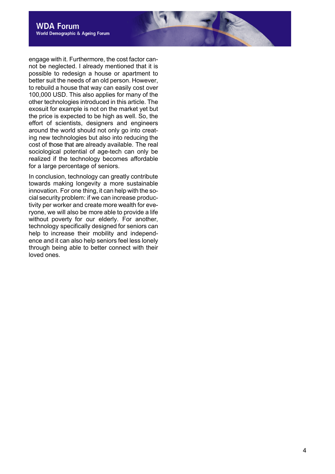engage with it. Furthermore, the cost factor cannot be neglected. I already mentioned that it is possible to redesign a house or apartment to better suit the needs of an old person. However, to rebuild a house that way can easily cost over 100,000 USD. This also applies for many of the other technologies introduced in this article. The exosuit for example is not on the market yet but the price is expected to be high as well. So, the effort of scientists, designers and engineers around the world should not only go into creating new technologies but also into reducing the cost of those that are already available. The real sociological potential of age-tech can only be realized if the technology becomes affordable for a large percentage of seniors.

In conclusion, technology can greatly contribute towards making longevity a more sustainable innovation. For one thing, it can help with the social security problem: if we can increase productivity per worker and create more wealth for everyone, we will also be more able to provide a life without poverty for our elderly. For another, technology specifically designed for seniors can help to increase their mobility and independence and it can also help seniors feel less lonely through being able to better connect with their loved ones.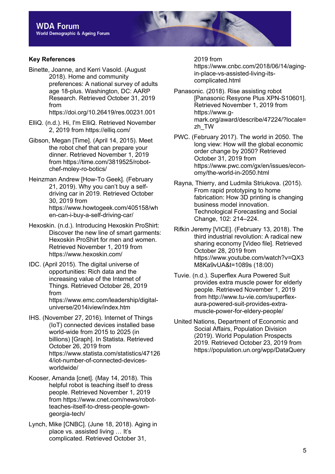## **Key References**

Binette, Joanne, and Kerri Vasold. (August 2018). Home and community preferences: A national survey of adults age 18-plus. Washington, DC: AARP Research. Retrieved October 31, 2019 from

https://doi.org/10.26419/res.00231.001

- ElliQ. (n.d.). Hi, I'm ElliQ. Retrieved November 2, 2019 from https://elliq.com/
- Gibson, Megan [Time]. (April 14, 2015). Meet the robot chef that can prepare your dinner. Retrieved November 1, 2019 from https://time.com/3819525/robotchef-moley-ro-botics/
- Heinzman Andrew [How-To Geek]. (February 21, 2019). Why you can't buy a selfdriving car in 2019. Retrieved October 30, 2019 from https://www.howtogeek.com/405158/wh en-can-i-buy-a-self-driving-car/
- Hexoskin. (n.d.). Introducing Hexoskin ProShirt: Discover the new line of smart garments: Hexoskin ProShirt for men and women. Retrieved November 1, 2019 from https://www.hexoskin.com/
- IDC. (April 2015). The digital universe of opportunities: Rich data and the increasing value of the Internet of Things. Retrieved October 26, 2019 from https://www.emc.com/leadership/digitaluniverse/2014iview/index.htm
- IHS. (November 27, 2016). Internet of Things (IoT) connected devices installed base world-wide from 2015 to 2025 (in billions) [Graph]. In Statista. Retrieved October 26, 2019 from https://www.statista.com/statistics/47126 4/iot-number-of-connected-devicesworldwide/
- Kooser, Amanda [cnet]. (May 14, 2018). This helpful robot is teaching itself to dress people. Retrieved November 1, 2019 from https://www.cnet.com/news/robotteaches-itself-to-dress-people-gowngeorgia-tech/
- Lynch, Mike [CNBC]. (June 18, 2018). Aging in place vs. assisted living … It's complicated. Retrieved October 31,

2019 from

https://www.cnbc.com/2018/06/14/agingin-place-vs-assisted-living-itscomplicated.html

- Panasonic. (2018). Rise assisting robot [Panasonic Resyone Plus XPN-S10601]. Retrieved November 1, 2019 from https://www.gmark.org/award/describe/47224/?locale= zh\_TW
- PWC. (February 2017). The world in 2050. The long view: How will the global economic order change by 2050? Retrieved October 31, 2019 from https://www.pwc.com/gx/en/issues/economy/the-world-in-2050.html
- Rayna, Thierry, and Ludmila Striukova. (2015). From rapid prototyping to home fabrication: How 3D printing is changing business model innovation. Technological Forecasting and Social Change, 102: 214–224.
- Rifkin Jeremy [VICE]. (February 13, 2018). The third industrial revolution: A radical new sharing economy [Video file]. Retrieved October 28, 2019 from https://www.youtube.com/watch?v=QX3 M8Ka9vUA&t=1089s (18:00)
- Tuvie. (n.d.). Superflex Aura Powered Suit provides extra muscle power for elderly people. Retrieved November 1, 2019 from http://www.tu-vie.com/superflexaura-powered-suit-provides-extramuscle-power-for-eldery-people/
- United Nations, Department of Economic and Social Affairs, Population Division (2019). World Population Prospects 2019. Retrieved October 23, 2019 from https://population.un.org/wpp/DataQuery